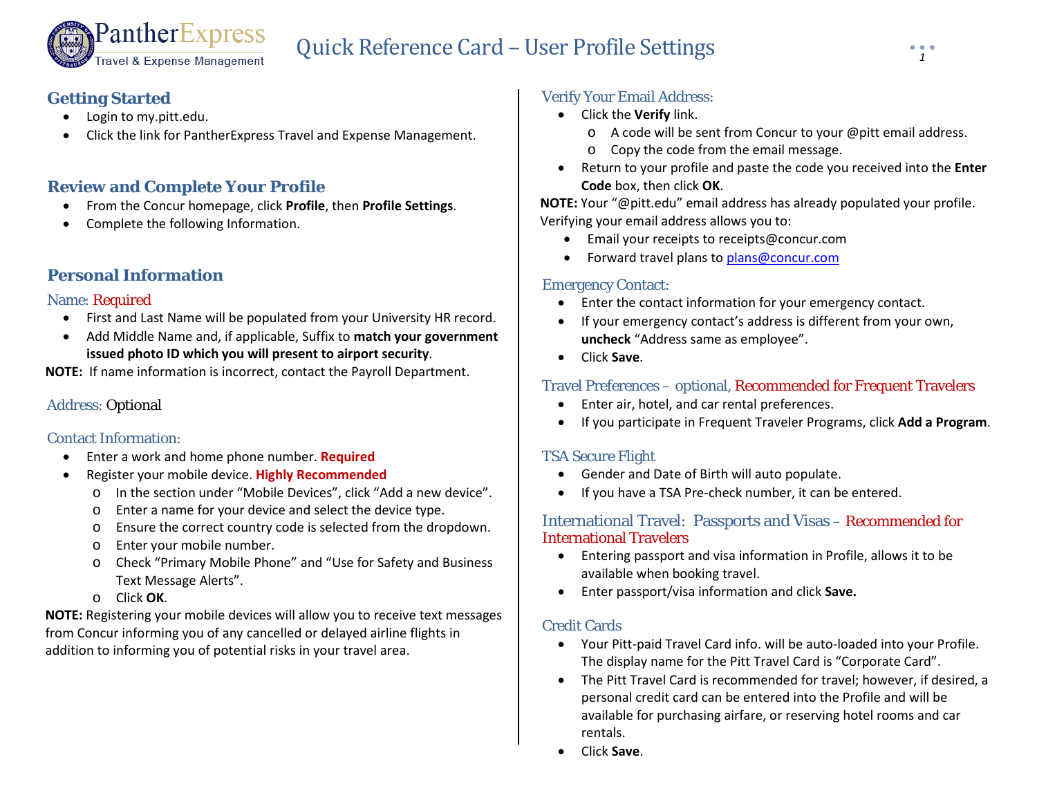# Quick Reference Card –User Profile Settings *<sup>1</sup>*

# **Getting Started**

- Login to my.pitt.edu.
- Click the link for PantherExpress Travel and Expense Management.

## **Review and Complete Your Profile**

PantherExpress

ravel & Expense Management

- From the Concur homepage, click **Profile**, then **Profile Settings**.
- Complete the following Information.

# **Personal Information**

#### Name: Required

- First and Last Name will be populated from your University HR record.
- Add Middle Name and, if applicable, Suffix to **match your government issued photo ID which you will present to airport security**.

**NOTE:** If name information is incorrect, contact the Payroll Department.

## Address: Optional

#### Contact Information:

- Enter a work and home phone number. **Required**
- Register your mobile device. **Highly Recommended**
	- o In the section under "Mobile Devices", click "Add a new device".
	- o Enter a name for your device and select the device type.
	- o Ensure the correct country code is selected from the dropdown.
	- o Enter your mobile number.
	- o Check "Primary Mobile Phone" and "Use for Safety and Business Text Message Alerts".
	- o Click **OK**.

**NOTE:** Registering your mobile devices will allow you to receive text messages from Concur informing you of any cancelled or delayed airline flights in addition to informing you of potential risks in your travel area.

# Verify Your Email Address:

- Click the **Verify** link.
	- o A code will be sent from Concur to your @pitt email address.
	- o Copy the code from the email message.
- Return to your profile and paste the code you received into the **Enter Code** box, then click **OK**.

**NOTE:** Your "@pitt.edu" email address has already populated your profile. Verifying your email address allows you to:

- Email your receipts to receipts@concur.com
- Forward travel plans to [plans@concur.com](mailto:plans@concur.com)

#### Emergency Contact:

- Enter the contact information for your emergency contact.
- If your emergency contact's address is different from your own, **uncheck** "Address same as employee".
- Click **Save**.

## Travel Preferences – optional, Recommended for Frequent Travelers

- Enter air, hotel, and car rental preferences.
- If you participate in Frequent Traveler Programs, click **Add a Program**.

## TSA Secure Flight

- Gender and Date of Birth will auto populate.
- If you have a TSA Pre-check number, it can be entered.

#### International Travel: Passports and Visas – Recommended for International Travelers

- Entering passport and visa information in Profile, allows it to be available when booking travel.
- Enter passport/visa information and click **Save.**

#### Credit Cards

- Your Pitt-paid Travel Card info. will be auto-loaded into your Profile. The display name for the Pitt Travel Card is "Corporate Card".
- The Pitt Travel Card is recommended for travel; however, if desired, a personal credit card can be entered into the Profile and will be available for purchasing airfare, or reserving hotel rooms and car rentals.
- Click **Save**.